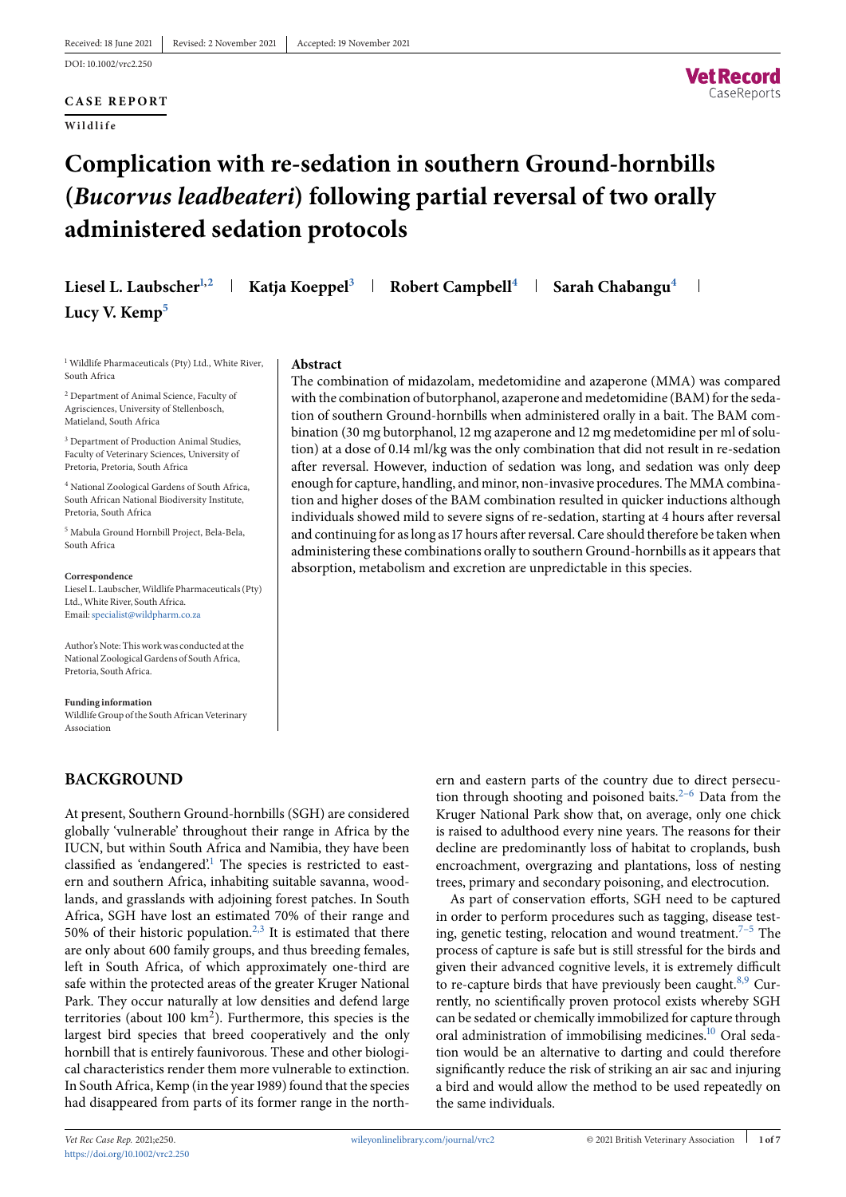**CASE REPORT**

**Wildlife**



# **Complication with re-sedation in southern Ground-hornbills (***Bucorvus leadbeateri***) following partial reversal of two orally administered sedation protocols**

| Liesel L. Laubscher <sup>1,2</sup>   Katja Koeppel <sup>3</sup>   Robert Campbell <sup>4</sup>   Sarah Chabangu <sup>4</sup> |  |  |  |  |
|------------------------------------------------------------------------------------------------------------------------------|--|--|--|--|
| Lucy V. Kemp <sup>5</sup>                                                                                                    |  |  |  |  |

<sup>1</sup> Wildlife Pharmaceuticals (Pty) Ltd., White River, South Africa

<sup>2</sup> Department of Animal Science, Faculty of Agrisciences, University of Stellenbosch, Matieland, South Africa

<sup>3</sup> Department of Production Animal Studies, Faculty of Veterinary Sciences, University of Pretoria, Pretoria, South Africa

<sup>4</sup> National Zoological Gardens of South Africa, South African National Biodiversity Institute, Pretoria, South Africa

<sup>5</sup> Mabula Ground Hornbill Project, Bela-Bela, South Africa

**Correspondence** Liesel L. Laubscher,Wildlife Pharmaceuticals (Pty) Ltd., White River, South Africa. Email[:specialist@wildpharm.co.za](mailto:specialist@wildpharm.co.za)

Author's Note: This work was conducted at the National Zoological Gardens of South Africa, Pretoria, South Africa.

**Funding information** Wildlife Group of the South African Veterinary Association

# **BACKGROUND**

At present, Southern Ground-hornbills (SGH) are considered globally 'vulnerable' throughout their range in Africa by the IUCN, but within South Africa and Namibia, they have been classified as 'endangered'.<sup>1</sup> The species is restricted to eastern and southern Africa, inhabiting suitable savanna, woodlands, and grasslands with adjoining forest patches. In South Africa, SGH have lost an estimated 70% of their range and 50% of their historic population.<sup>2,3</sup> It is estimated that there are only about 600 family groups, and thus breeding females, left in South Africa, of which approximately one-third are safe within the protected areas of the greater Kruger National Park. They occur naturally at low densities and defend large territories (about 100  $\text{km}^2$ ). Furthermore, this species is the largest bird species that breed cooperatively and the only hornbill that is entirely faunivorous. These and other biological characteristics render them more vulnerable to extinction. In South Africa, Kemp (in the year 1989) found that the species had disappeared from parts of its former range in the north-

## **Abstract**

The combination of midazolam, medetomidine and azaperone (MMA) was compared with the combination of butorphanol, azaperone and medetomidine (BAM) for the sedation of southern Ground-hornbills when administered orally in a bait. The BAM combination (30 mg butorphanol, 12 mg azaperone and 12 mg medetomidine per ml of solution) at a dose of 0.14 ml/kg was the only combination that did not result in re-sedation after reversal. However, induction of sedation was long, and sedation was only deep enough for capture, handling, and minor, non-invasive procedures. The MMA combination and higher doses of the BAM combination resulted in quicker inductions although individuals showed mild to severe signs of re-sedation, starting at 4 hours after reversal and continuing for as long as 17 hours after reversal. Care should therefore be taken when administering these combinations orally to southern Ground-hornbills as it appears that absorption, metabolism and excretion are unpredictable in this species.

> ern and eastern parts of the country due to direct persecution through shooting and poisoned baits. $2-6$  Data from the Kruger National Park show that, on average, only one chick is raised to adulthood every nine years. The reasons for their decline are predominantly loss of habitat to croplands, bush encroachment, overgrazing and plantations, loss of nesting trees, primary and secondary poisoning, and electrocution.

> As part of conservation efforts, SGH need to be captured in order to perform procedures such as tagging, disease test-ing, genetic testing, relocation and wound treatment.<sup>[7–5](#page-5-0)</sup> The process of capture is safe but is still stressful for the birds and given their advanced cognitive levels, it is extremely difficult to re-capture birds that have previously been caught. $8.9$  Currently, no scientifically proven protocol exists whereby SGH can be sedated or chemically immobilized for capture through oral administration of immobilising medicines[.10](#page-5-0) Oral sedation would be an alternative to darting and could therefore significantly reduce the risk of striking an air sac and injuring a bird and would allow the method to be used repeatedly on the same individuals.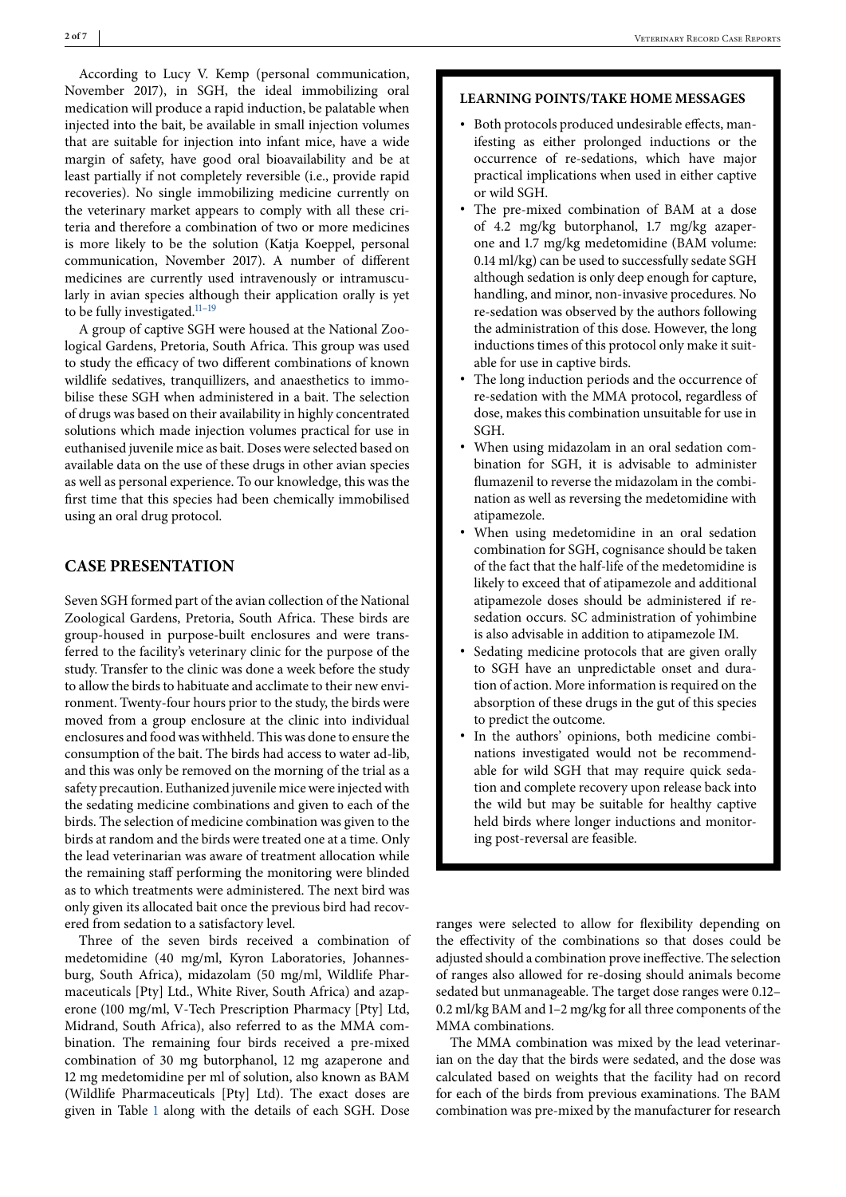According to Lucy V. Kemp (personal communication, November 2017), in SGH, the ideal immobilizing oral medication will produce a rapid induction, be palatable when injected into the bait, be available in small injection volumes that are suitable for injection into infant mice, have a wide margin of safety, have good oral bioavailability and be at least partially if not completely reversible (i.e., provide rapid recoveries). No single immobilizing medicine currently on the veterinary market appears to comply with all these criteria and therefore a combination of two or more medicines is more likely to be the solution (Katia Koeppel, personal communication, November 2017). A number of different medicines are currently used intravenously or intramuscularly in avian species although their application orally is yet to be fully investigated. $11-19$ 

A group of captive SGH were housed at the National Zoological Gardens, Pretoria, South Africa. This group was used to study the efficacy of two different combinations of known wildlife sedatives, tranquillizers, and anaesthetics to immobilise these SGH when administered in a bait. The selection of drugs was based on their availability in highly concentrated solutions which made injection volumes practical for use in euthanised juvenile mice as bait. Doses were selected based on available data on the use of these drugs in other avian species as well as personal experience. To our knowledge, this was the first time that this species had been chemically immobilised using an oral drug protocol.

## **CASE PRESENTATION**

Seven SGH formed part of the avian collection of the National Zoological Gardens, Pretoria, South Africa. These birds are group-housed in purpose-built enclosures and were transferred to the facility's veterinary clinic for the purpose of the study. Transfer to the clinic was done a week before the study to allow the birds to habituate and acclimate to their new environment. Twenty-four hours prior to the study, the birds were moved from a group enclosure at the clinic into individual enclosures and food was withheld. This was done to ensure the consumption of the bait. The birds had access to water ad-lib, and this was only be removed on the morning of the trial as a safety precaution. Euthanized juvenile mice were injected with the sedating medicine combinations and given to each of the birds. The selection of medicine combination was given to the birds at random and the birds were treated one at a time. Only the lead veterinarian was aware of treatment allocation while the remaining staff performing the monitoring were blinded as to which treatments were administered. The next bird was only given its allocated bait once the previous bird had recovered from sedation to a satisfactory level.

Three of the seven birds received a combination of medetomidine (40 mg/ml, Kyron Laboratories, Johannesburg, South Africa), midazolam (50 mg/ml, Wildlife Pharmaceuticals [Pty] Ltd., White River, South Africa) and azaperone (100 mg/ml, V-Tech Prescription Pharmacy [Pty] Ltd, Midrand, South Africa), also referred to as the MMA combination. The remaining four birds received a pre-mixed combination of 30 mg butorphanol, 12 mg azaperone and 12 mg medetomidine per ml of solution, also known as BAM (Wildlife Pharmaceuticals [Pty] Ltd). The exact doses are given in Table [1](#page-2-0) along with the details of each SGH. Dose

#### **LEARNING POINTS/TAKE HOME MESSAGES**

- ∙ Both protocols produced undesirable effects, manifesting as either prolonged inductions or the occurrence of re-sedations, which have major practical implications when used in either captive or wild SGH.
- ∙ The pre-mixed combination of BAM at a dose of 4.2 mg/kg butorphanol, 1.7 mg/kg azaperone and 1.7 mg/kg medetomidine (BAM volume: 0.14 ml/kg) can be used to successfully sedate SGH although sedation is only deep enough for capture, handling, and minor, non-invasive procedures. No re-sedation was observed by the authors following the administration of this dose. However, the long inductions times of this protocol only make it suitable for use in captive birds.
- The long induction periods and the occurrence of re-sedation with the MMA protocol, regardless of dose, makes this combination unsuitable for use in SGH.
- ∙ When using midazolam in an oral sedation combination for SGH, it is advisable to administer flumazenil to reverse the midazolam in the combination as well as reversing the medetomidine with atipamezole.
- ∙ When using medetomidine in an oral sedation combination for SGH, cognisance should be taken of the fact that the half-life of the medetomidine is likely to exceed that of atipamezole and additional atipamezole doses should be administered if resedation occurs. SC administration of yohimbine is also advisable in addition to atipamezole IM.
- ∙ Sedating medicine protocols that are given orally to SGH have an unpredictable onset and duration of action. More information is required on the absorption of these drugs in the gut of this species to predict the outcome.
- ∙ In the authors' opinions, both medicine combinations investigated would not be recommendable for wild SGH that may require quick sedation and complete recovery upon release back into the wild but may be suitable for healthy captive held birds where longer inductions and monitoring post-reversal are feasible.

ranges were selected to allow for flexibility depending on the effectivity of the combinations so that doses could be adjusted should a combination prove ineffective. The selection of ranges also allowed for re-dosing should animals become sedated but unmanageable. The target dose ranges were 0.12– 0.2 ml/kg BAM and 1–2 mg/kg for all three components of the MMA combinations.

The MMA combination was mixed by the lead veterinarian on the day that the birds were sedated, and the dose was calculated based on weights that the facility had on record for each of the birds from previous examinations. The BAM combination was pre-mixed by the manufacturer for research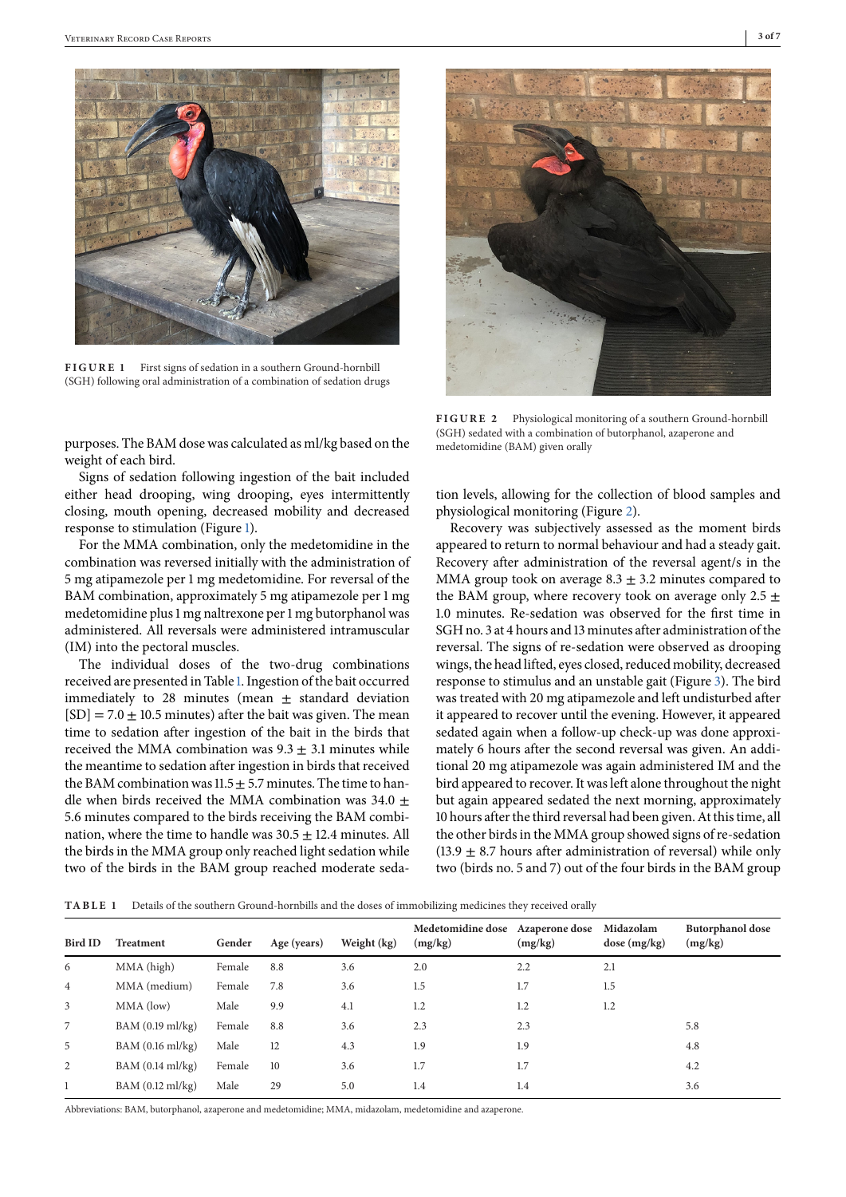<span id="page-2-0"></span>

FIGURE 1 First signs of sedation in a southern Ground-hornbill (SGH) following oral administration of a combination of sedation drugs

purposes. The BAM dose was calculated as ml/kg based on the weight of each bird.

Signs of sedation following ingestion of the bait included either head drooping, wing drooping, eyes intermittently closing, mouth opening, decreased mobility and decreased response to stimulation (Figure 1).

For the MMA combination, only the medetomidine in the combination was reversed initially with the administration of 5 mg atipamezole per 1 mg medetomidine. For reversal of the BAM combination, approximately 5 mg atipamezole per 1 mg medetomidine plus 1 mg naltrexone per 1 mg butorphanol was administered. All reversals were administered intramuscular (IM) into the pectoral muscles.

The individual doses of the two-drug combinations received are presented in Table 1. Ingestion of the bait occurred immediately to 28 minutes (mean  $\pm$  standard deviation  $[SD] = 7.0 \pm 10.5$  minutes) after the bait was given. The mean time to sedation after ingestion of the bait in the birds that received the MMA combination was  $9.3 \pm 3.1$  minutes while the meantime to sedation after ingestion in birds that received the BAM combination was  $11.5 \pm 5.7$  minutes. The time to handle when birds received the MMA combination was 34.0  $\pm$ 5.6 minutes compared to the birds receiving the BAM combination, where the time to handle was  $30.5 \pm 12.4$  minutes. All the birds in the MMA group only reached light sedation while two of the birds in the BAM group reached moderate seda-



**FIGURE 2** Physiological monitoring of a southern Ground-hornbill (SGH) sedated with a combination of butorphanol, azaperone and medetomidine (BAM) given orally

tion levels, allowing for the collection of blood samples and physiological monitoring (Figure 2).

Recovery was subjectively assessed as the moment birds appeared to return to normal behaviour and had a steady gait. Recovery after administration of the reversal agent/s in the MMA group took on average  $8.3 \pm 3.2$  minutes compared to the BAM group, where recovery took on average only 2.5  $\pm$ 1.0 minutes. Re-sedation was observed for the first time in SGH no. 3 at 4 hours and 13 minutes after administration of the reversal. The signs of re-sedation were observed as drooping wings, the head lifted, eyes closed, reduced mobility, decreased response to stimulus and an unstable gait (Figure [3\)](#page-3-0). The bird was treated with 20 mg atipamezole and left undisturbed after it appeared to recover until the evening. However, it appeared sedated again when a follow-up check-up was done approximately 6 hours after the second reversal was given. An additional 20 mg atipamezole was again administered IM and the bird appeared to recover. It was left alone throughout the night but again appeared sedated the next morning, approximately 10 hours after the third reversal had been given. At this time, all the other birds in the MMA group showed signs of re-sedation  $(13.9 \pm 8.7)$  hours after administration of reversal) while only two (birds no. 5 and 7) out of the four birds in the BAM group

**TABLE**  Details of the southern Ground-hornbills and the doses of immobilizing medicines they received orally

| Bird ID        | <b>Treatment</b> | Gender | Age (years) | Weight (kg) | Medetomidine dose<br>(mg/kg) | <b>Azaperone dose</b><br>(mg/kg) | Midazolam<br>dose (mg/kg) | <b>Butorphanol</b> dose<br>(mg/kg) |
|----------------|------------------|--------|-------------|-------------|------------------------------|----------------------------------|---------------------------|------------------------------------|
| 6              | MMA (high)       | Female | 8.8         | 3.6         | 2.0                          | 2.2                              | 2.1                       |                                    |
| $\overline{4}$ | MMA (medium)     | Female | 7.8         | 3.6         | 1.5                          | 1.7                              | 1.5                       |                                    |
| 3              | MMA (low)        | Male   | 9.9         | 4.1         | 1.2                          | 1.2                              | 1.2                       |                                    |
| $\overline{7}$ | BAM (0.19 ml/kg) | Female | 8.8         | 3.6         | 2.3                          | 2.3                              |                           | 5.8                                |
| 5              | BAM (0.16 ml/kg) | Male   | 12          | 4.3         | 1.9                          | 1.9                              |                           | 4.8                                |
| 2              | BAM (0.14 ml/kg) | Female | 10          | 3.6         | 1.7                          | 1.7                              |                           | 4.2                                |
|                | BAM (0.12 ml/kg) | Male   | 29          | 5.0         | 1.4                          | 1.4                              |                           | 3.6                                |
|                |                  |        |             |             |                              |                                  |                           |                                    |

Abbreviations: BAM, butorphanol, azaperone and medetomidine; MMA, midazolam, medetomidine and azaperone.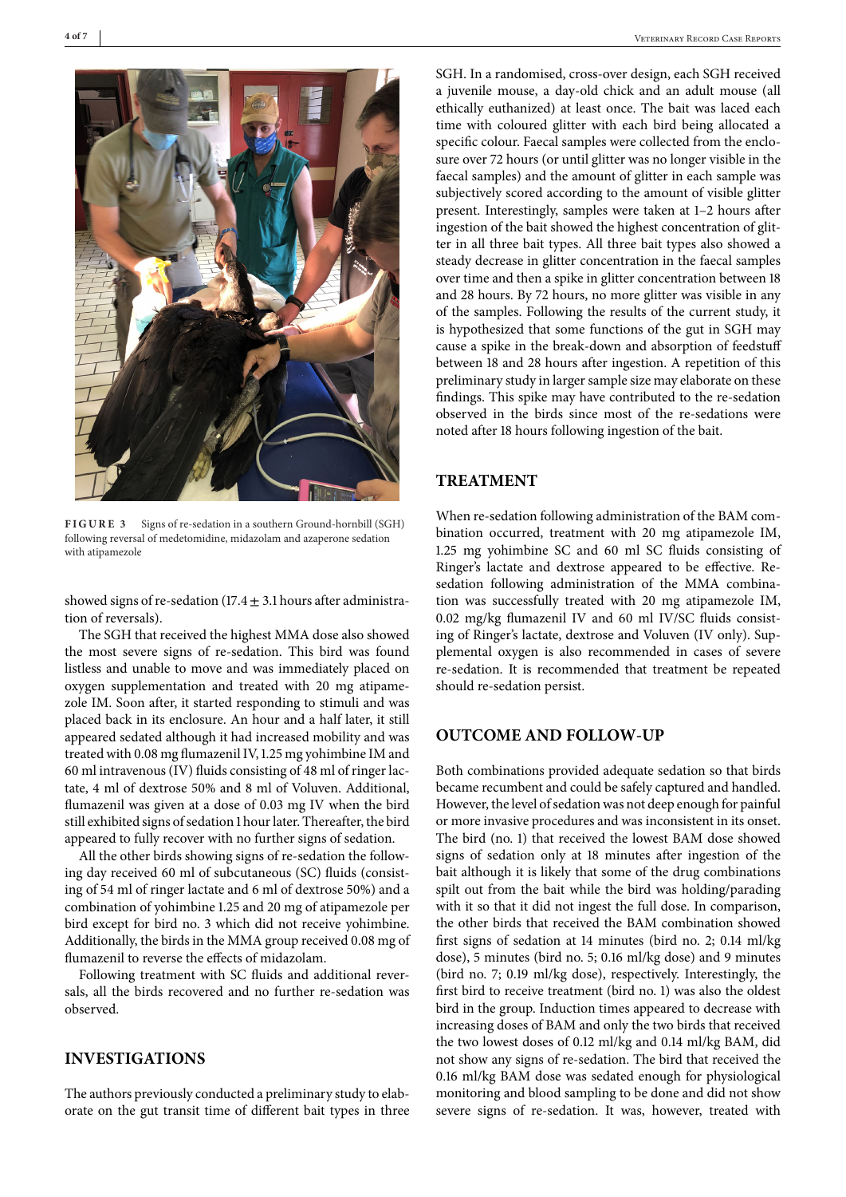<span id="page-3-0"></span>

**FIGURE 3** Signs of re-sedation in a southern Ground-hornbill (SGH) following reversal of medetomidine, midazolam and azaperone sedation with atipamezole

showed signs of re-sedation  $(17.4 \pm 3.1)$  hours after administration of reversals).

The SGH that received the highest MMA dose also showed the most severe signs of re-sedation. This bird was found listless and unable to move and was immediately placed on oxygen supplementation and treated with 20 mg atipamezole IM. Soon after, it started responding to stimuli and was placed back in its enclosure. An hour and a half later, it still appeared sedated although it had increased mobility and was treated with 0.08 mg flumazenil IV, 1.25 mg yohimbine IM and 60 ml intravenous (IV) fluids consisting of 48 ml of ringer lactate, 4 ml of dextrose 50% and 8 ml of Voluven. Additional, flumazenil was given at a dose of 0.03 mg IV when the bird still exhibited signs of sedation 1 hour later. Thereafter, the bird appeared to fully recover with no further signs of sedation.

All the other birds showing signs of re-sedation the following day received 60 ml of subcutaneous (SC) fluids (consisting of 54 ml of ringer lactate and 6 ml of dextrose 50%) and a combination of yohimbine 1.25 and 20 mg of atipamezole per bird except for bird no. 3 which did not receive yohimbine. Additionally, the birds in the MMA group received 0.08 mg of flumazenil to reverse the effects of midazolam.

Following treatment with SC fluids and additional reversals, all the birds recovered and no further re-sedation was observed.

# **INVESTIGATIONS**

The authors previously conducted a preliminary study to elaborate on the gut transit time of different bait types in three SGH. In a randomised, cross-over design, each SGH received a juvenile mouse, a day-old chick and an adult mouse (all ethically euthanized) at least once. The bait was laced each time with coloured glitter with each bird being allocated a specific colour. Faecal samples were collected from the enclosure over 72 hours (or until glitter was no longer visible in the faecal samples) and the amount of glitter in each sample was subjectively scored according to the amount of visible glitter present. Interestingly, samples were taken at 1–2 hours after ingestion of the bait showed the highest concentration of glitter in all three bait types. All three bait types also showed a steady decrease in glitter concentration in the faecal samples over time and then a spike in glitter concentration between 18 and 28 hours. By 72 hours, no more glitter was visible in any of the samples. Following the results of the current study, it is hypothesized that some functions of the gut in SGH may cause a spike in the break-down and absorption of feedstuff between 18 and 28 hours after ingestion. A repetition of this preliminary study in larger sample size may elaborate on these findings. This spike may have contributed to the re-sedation observed in the birds since most of the re-sedations were noted after 18 hours following ingestion of the bait.

#### **TREATMENT**

When re-sedation following administration of the BAM combination occurred, treatment with 20 mg atipamezole IM, 1.25 mg yohimbine SC and 60 ml SC fluids consisting of Ringer's lactate and dextrose appeared to be effective. Resedation following administration of the MMA combination was successfully treated with 20 mg atipamezole IM, 0.02 mg/kg flumazenil IV and 60 ml IV/SC fluids consisting of Ringer's lactate, dextrose and Voluven (IV only). Supplemental oxygen is also recommended in cases of severe re-sedation. It is recommended that treatment be repeated should re-sedation persist.

#### **OUTCOME AND FOLLOW-UP**

Both combinations provided adequate sedation so that birds became recumbent and could be safely captured and handled. However, the level of sedation was not deep enough for painful or more invasive procedures and was inconsistent in its onset. The bird (no. 1) that received the lowest BAM dose showed signs of sedation only at 18 minutes after ingestion of the bait although it is likely that some of the drug combinations spilt out from the bait while the bird was holding/parading with it so that it did not ingest the full dose. In comparison, the other birds that received the BAM combination showed first signs of sedation at 14 minutes (bird no. 2; 0.14 ml/kg dose), 5 minutes (bird no. 5; 0.16 ml/kg dose) and 9 minutes (bird no. 7; 0.19 ml/kg dose), respectively. Interestingly, the first bird to receive treatment (bird no. 1) was also the oldest bird in the group. Induction times appeared to decrease with increasing doses of BAM and only the two birds that received the two lowest doses of 0.12 ml/kg and 0.14 ml/kg BAM, did not show any signs of re-sedation. The bird that received the 0.16 ml/kg BAM dose was sedated enough for physiological monitoring and blood sampling to be done and did not show severe signs of re-sedation. It was, however, treated with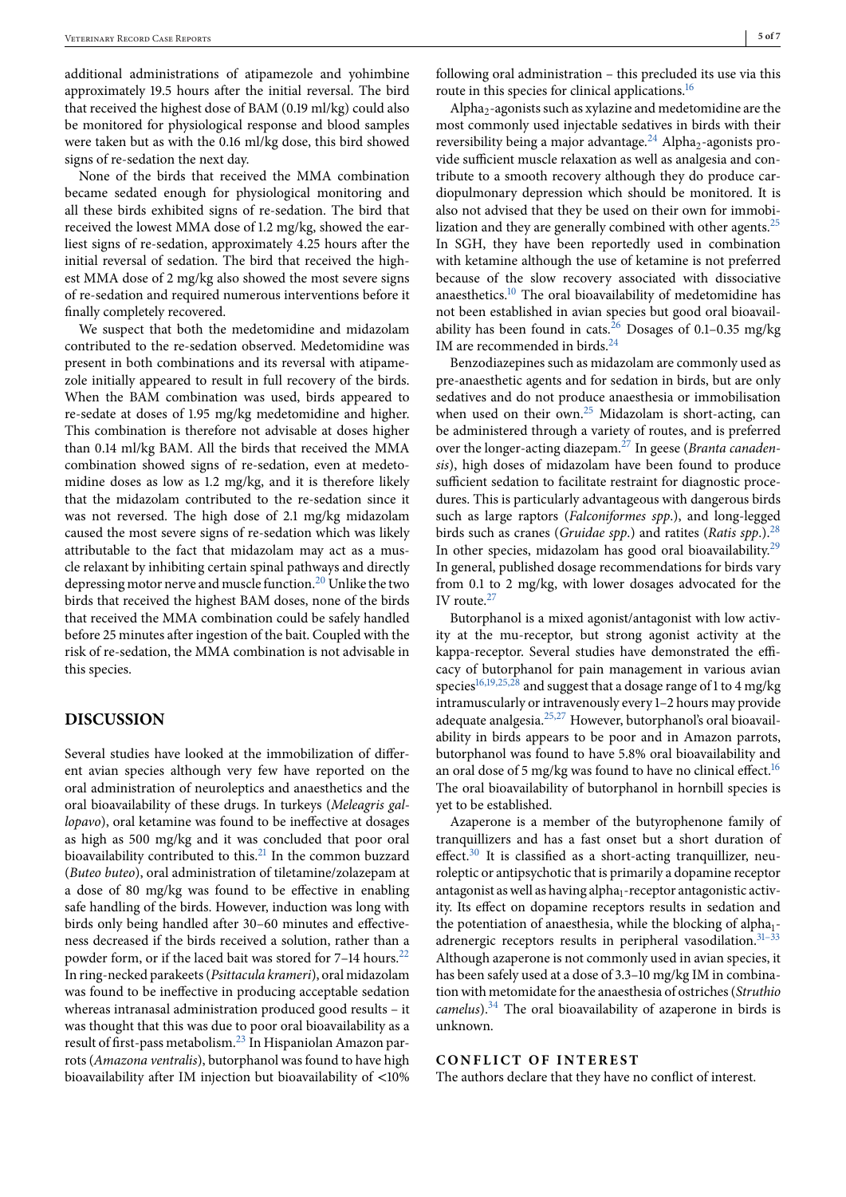additional administrations of atipamezole and yohimbine approximately 19.5 hours after the initial reversal. The bird that received the highest dose of BAM (0.19 ml/kg) could also be monitored for physiological response and blood samples were taken but as with the 0.16 ml/kg dose, this bird showed signs of re-sedation the next day.

None of the birds that received the MMA combination became sedated enough for physiological monitoring and all these birds exhibited signs of re-sedation. The bird that received the lowest MMA dose of 1.2 mg/kg, showed the earliest signs of re-sedation, approximately 4.25 hours after the initial reversal of sedation. The bird that received the highest MMA dose of 2 mg/kg also showed the most severe signs of re-sedation and required numerous interventions before it finally completely recovered.

We suspect that both the medetomidine and midazolam contributed to the re-sedation observed. Medetomidine was present in both combinations and its reversal with atipamezole initially appeared to result in full recovery of the birds. When the BAM combination was used, birds appeared to re-sedate at doses of 1.95 mg/kg medetomidine and higher. This combination is therefore not advisable at doses higher than 0.14 ml/kg BAM. All the birds that received the MMA combination showed signs of re-sedation, even at medetomidine doses as low as 1.2 mg/kg, and it is therefore likely that the midazolam contributed to the re-sedation since it was not reversed. The high dose of 2.1 mg/kg midazolam caused the most severe signs of re-sedation which was likely attributable to the fact that midazolam may act as a muscle relaxant by inhibiting certain spinal pathways and directly depressing motor nerve and muscle function[.20](#page-5-0) Unlike the two birds that received the highest BAM doses, none of the birds that received the MMA combination could be safely handled before 25 minutes after ingestion of the bait. Coupled with the risk of re-sedation, the MMA combination is not advisable in this species.

## **DISCUSSION**

Several studies have looked at the immobilization of different avian species although very few have reported on the oral administration of neuroleptics and anaesthetics and the oral bioavailability of these drugs. In turkeys (*Meleagris gallopavo*), oral ketamine was found to be ineffective at dosages as high as 500 mg/kg and it was concluded that poor oral bioavailability contributed to this. $^{21}$  In the common buzzard (*Buteo buteo*), oral administration of tiletamine/zolazepam at a dose of 80 mg/kg was found to be effective in enabling safe handling of the birds. However, induction was long with birds only being handled after 30–60 minutes and effectiveness decreased if the birds received a solution, rather than a powder form, or if the laced bait was stored for 7-14 hours.<sup>22</sup> In ring-necked parakeets (*Psittacula krameri*), oral midazolam was found to be ineffective in producing acceptable sedation whereas intranasal administration produced good results – it was thought that this was due to poor oral bioavailability as a result of first-pass metabolism.[23](#page-5-0) In Hispaniolan Amazon parrots (*Amazona ventralis*), butorphanol was found to have high bioavailability after IM injection but bioavailability of <10%

following oral administration – this precluded its use via this route in this species for clinical applications.<sup>16</sup>

Alpha<sub>2</sub>-agonists such as xylazine and medetomidine are the most commonly used injectable sedatives in birds with their reversibility being a major advantage.<sup>[24](#page-5-0)</sup> Alpha<sub>2</sub>-agonists provide sufficient muscle relaxation as well as analgesia and contribute to a smooth recovery although they do produce cardiopulmonary depression which should be monitored. It is also not advised that they be used on their own for immobilization and they are generally combined with other agents. $^{25}$ In SGH, they have been reportedly used in combination with ketamine although the use of ketamine is not preferred because of the slow recovery associated with dissociative anaesthetics[.10](#page-5-0) The oral bioavailability of medetomidine has not been established in avian species but good oral bioavailability has been found in cats.[26](#page-5-0) Dosages of 0.1–0.35 mg/kg IM are recommended in birds.<sup>24</sup>

Benzodiazepines such as midazolam are commonly used as pre-anaesthetic agents and for sedation in birds, but are only sedatives and do not produce anaesthesia or immobilisation when used on their own.<sup>[25](#page-5-0)</sup> Midazolam is short-acting, can be administered through a variety of routes, and is preferred over the longer-acting diazepam.[27](#page-5-0) In geese (*Branta canadensis*), high doses of midazolam have been found to produce sufficient sedation to facilitate restraint for diagnostic procedures. This is particularly advantageous with dangerous birds such as large raptors (*Falconiformes spp*.), and long-legged birds such as cranes (*Gruidae spp*.) and ratites (*Ratis spp*.)[.28](#page-5-0) In other species, midazolam has good oral bioavailability.<sup>29</sup> In general, published dosage recommendations for birds vary from 0.1 to 2 mg/kg, with lower dosages advocated for the IV route. $27$ 

Butorphanol is a mixed agonist/antagonist with low activity at the mu-receptor, but strong agonist activity at the kappa-receptor. Several studies have demonstrated the efficacy of butorphanol for pain management in various avian species<sup>16,19,25,28</sup> and suggest that a dosage range of 1 to 4 mg/kg intramuscularly or intravenously every 1–2 hours may provide adequate analgesia[.25,27](#page-5-0) However, butorphanol's oral bioavailability in birds appears to be poor and in Amazon parrots, butorphanol was found to have 5.8% oral bioavailability and an oral dose of 5 mg/kg was found to have no clinical effect.<sup>[16](#page-5-0)</sup> The oral bioavailability of butorphanol in hornbill species is yet to be established.

Azaperone is a member of the butyrophenone family of tranquillizers and has a fast onset but a short duration of effect. $30$  It is classified as a short-acting tranquillizer, neuroleptic or antipsychotic that is primarily a dopamine receptor antagonist as well as having alpha<sub>1</sub>-receptor antagonistic activity. Its effect on dopamine receptors results in sedation and the potentiation of anaesthesia, while the blocking of alpha<sub>1</sub>adrenergic receptors results in peripheral vasodilation.<sup>31-33</sup> Although azaperone is not commonly used in avian species, it has been safely used at a dose of 3.3–10 mg/kg IM in combination with metomidate for the anaesthesia of ostriches (*Struthio camelus*)[.34](#page-5-0) The oral bioavailability of azaperone in birds is unknown.

#### **CONFLICT OF INTEREST**

The authors declare that they have no conflict of interest.